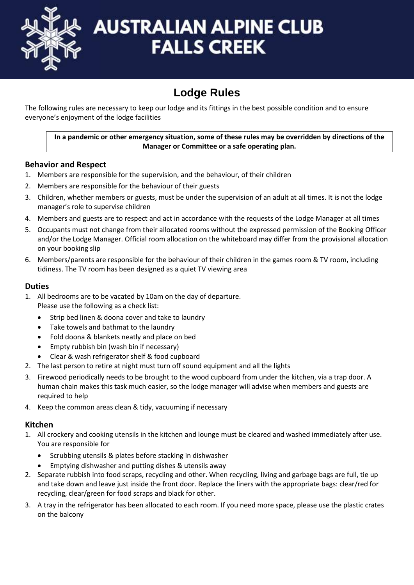

# **AUSTRALIAN ALPINE CLUB FALLS CREEK**

# **Lodge Rules**

The following rules are necessary to keep our lodge and its fittings in the best possible condition and to ensure everyone's enjoyment of the lodge facilities

### **In a pandemic or other emergency situation, some of these rules may be overridden by directions of the Manager or Committee or a safe operating plan.**

# **Behavior and Respect**

- 1. Members are responsible for the supervision, and the behaviour, of their children
- 2. Members are responsible for the behaviour of their guests
- 3. Children, whether members or guests, must be under the supervision of an adult at all times. It is not the lodge manager's role to supervise children
- 4. Members and guests are to respect and act in accordance with the requests of the Lodge Manager at all times
- 5. Occupants must not change from their allocated rooms without the expressed permission of the Booking Officer and/or the Lodge Manager. Official room allocation on the whiteboard may differ from the provisional allocation on your booking slip
- 6. Members/parents are responsible for the behaviour of their children in the games room & TV room, including tidiness. The TV room has been designed as a quiet TV viewing area

# **Duties**

- 1. All bedrooms are to be vacated by 10am on the day of departure. Please use the following as a check list:
	- Strip bed linen & doona cover and take to laundry
	- Take towels and bathmat to the laundry
	- Fold doona & blankets neatly and place on bed
	- Empty rubbish bin (wash bin if necessary)
	- Clear & wash refrigerator shelf & food cupboard
- 2. The last person to retire at night must turn off sound equipment and all the lights
- 3. Firewood periodically needs to be brought to the wood cupboard from under the kitchen, via a trap door. A human chain makes this task much easier, so the lodge manager will advise when members and guests are required to help
- 4. Keep the common areas clean & tidy, vacuuming if necessary

## **Kitchen**

- 1. All crockery and cooking utensils in the kitchen and lounge must be cleared and washed immediately after use. You are responsible for
	- Scrubbing utensils & plates before stacking in dishwasher
	- Emptying dishwasher and putting dishes & utensils away
- 2. Separate rubbish into food scraps, recycling and other. When recycling, living and garbage bags are full, tie up and take down and leave just inside the front door. Replace the liners with the appropriate bags: clear/red for recycling, clear/green for food scraps and black for other.
- 3. A tray in the refrigerator has been allocated to each room. If you need more space, please use the plastic crates on the balcony